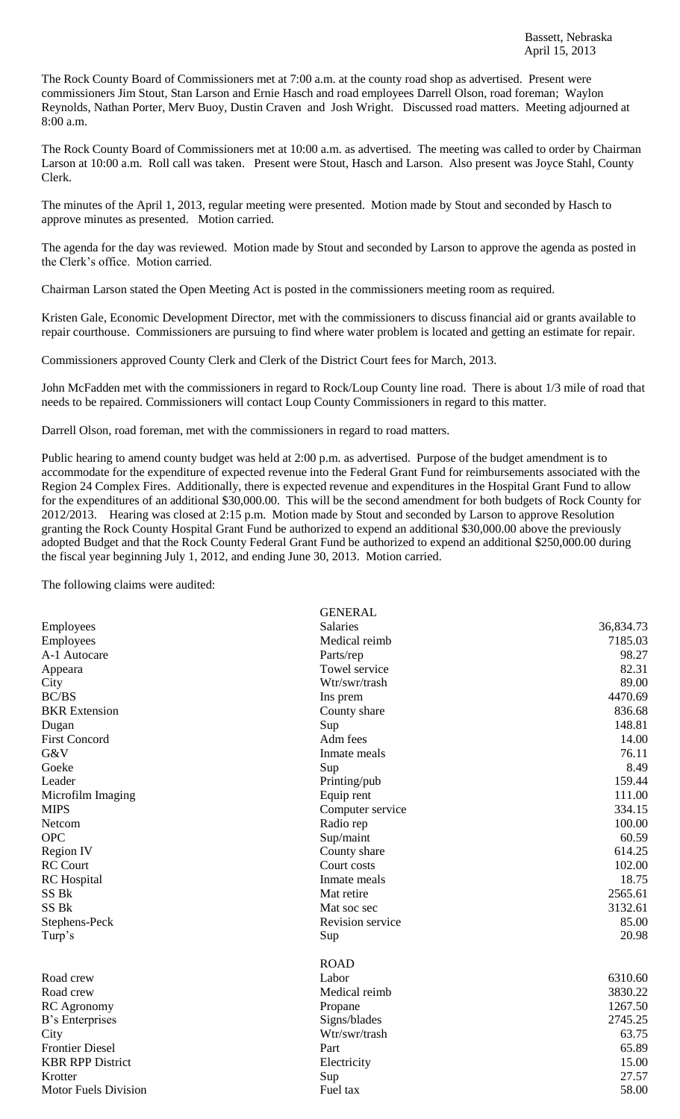The Rock County Board of Commissioners met at 7:00 a.m. at the county road shop as advertised. Present were commissioners Jim Stout, Stan Larson and Ernie Hasch and road employees Darrell Olson, road foreman; Waylon Reynolds, Nathan Porter, Merv Buoy, Dustin Craven and Josh Wright. Discussed road matters. Meeting adjourned at 8:00 a.m.

The Rock County Board of Commissioners met at 10:00 a.m. as advertised. The meeting was called to order by Chairman Larson at 10:00 a.m. Roll call was taken. Present were Stout, Hasch and Larson. Also present was Joyce Stahl, County Clerk.

The minutes of the April 1, 2013, regular meeting were presented. Motion made by Stout and seconded by Hasch to approve minutes as presented. Motion carried.

The agenda for the day was reviewed. Motion made by Stout and seconded by Larson to approve the agenda as posted in the Clerk's office. Motion carried.

Chairman Larson stated the Open Meeting Act is posted in the commissioners meeting room as required.

Kristen Gale, Economic Development Director, met with the commissioners to discuss financial aid or grants available to repair courthouse. Commissioners are pursuing to find where water problem is located and getting an estimate for repair.

Commissioners approved County Clerk and Clerk of the District Court fees for March, 2013.

John McFadden met with the commissioners in regard to Rock/Loup County line road. There is about 1/3 mile of road that needs to be repaired. Commissioners will contact Loup County Commissioners in regard to this matter.

Darrell Olson, road foreman, met with the commissioners in regard to road matters.

Public hearing to amend county budget was held at 2:00 p.m. as advertised. Purpose of the budget amendment is to accommodate for the expenditure of expected revenue into the Federal Grant Fund for reimbursements associated with the Region 24 Complex Fires. Additionally, there is expected revenue and expenditures in the Hospital Grant Fund to allow for the expenditures of an additional \$30,000.00. This will be the second amendment for both budgets of Rock County for 2012/2013. Hearing was closed at 2:15 p.m. Motion made by Stout and seconded by Larson to approve Resolution granting the Rock County Hospital Grant Fund be authorized to expend an additional \$30,000.00 above the previously adopted Budget and that the Rock County Federal Grant Fund be authorized to expend an additional \$250,000.00 during the fiscal year beginning July 1, 2012, and ending June 30, 2013. Motion carried.

The following claims were audited:

|                             | <b>GENERAL</b>   |           |
|-----------------------------|------------------|-----------|
| Employees                   | <b>Salaries</b>  | 36,834.73 |
| Employees                   | Medical reimb    | 7185.03   |
| A-1 Autocare                | Parts/rep        | 98.27     |
| Appeara                     | Towel service    | 82.31     |
| City                        | Wtr/swr/trash    | 89.00     |
| BC/BS                       | Ins prem         | 4470.69   |
| <b>BKR</b> Extension        | County share     | 836.68    |
| Dugan                       | Sup              | 148.81    |
| <b>First Concord</b>        | Adm fees         | 14.00     |
| G&V                         | Inmate meals     | 76.11     |
| Goeke                       | Sup              | 8.49      |
| Leader                      | Printing/pub     | 159.44    |
| Microfilm Imaging           | Equip rent       | 111.00    |
| <b>MIPS</b>                 | Computer service | 334.15    |
| Netcom                      | Radio rep        | 100.00    |
| <b>OPC</b>                  | Sup/maint        | 60.59     |
| <b>Region IV</b>            | County share     | 614.25    |
| <b>RC Court</b>             | Court costs      | 102.00    |
| <b>RC</b> Hospital          | Inmate meals     | 18.75     |
| SS <sub>Bk</sub>            | Mat retire       | 2565.61   |
| SS <sub>Bk</sub>            | Mat soc sec      | 3132.61   |
| Stephens-Peck               | Revision service | 85.00     |
| Turp's                      | Sup              | 20.98     |
|                             | <b>ROAD</b>      |           |
| Road crew                   | Labor            | 6310.60   |
| Road crew                   | Medical reimb    | 3830.22   |
| <b>RC</b> Agronomy          | Propane          | 1267.50   |
| B's Enterprises             | Signs/blades     | 2745.25   |
| City                        | Wtr/swr/trash    | 63.75     |
| <b>Frontier Diesel</b>      | Part             | 65.89     |
| <b>KBR RPP District</b>     | Electricity      | 15.00     |
| Krotter                     | Sup              | 27.57     |
| <b>Motor Fuels Division</b> | Fuel tax         | 58.00     |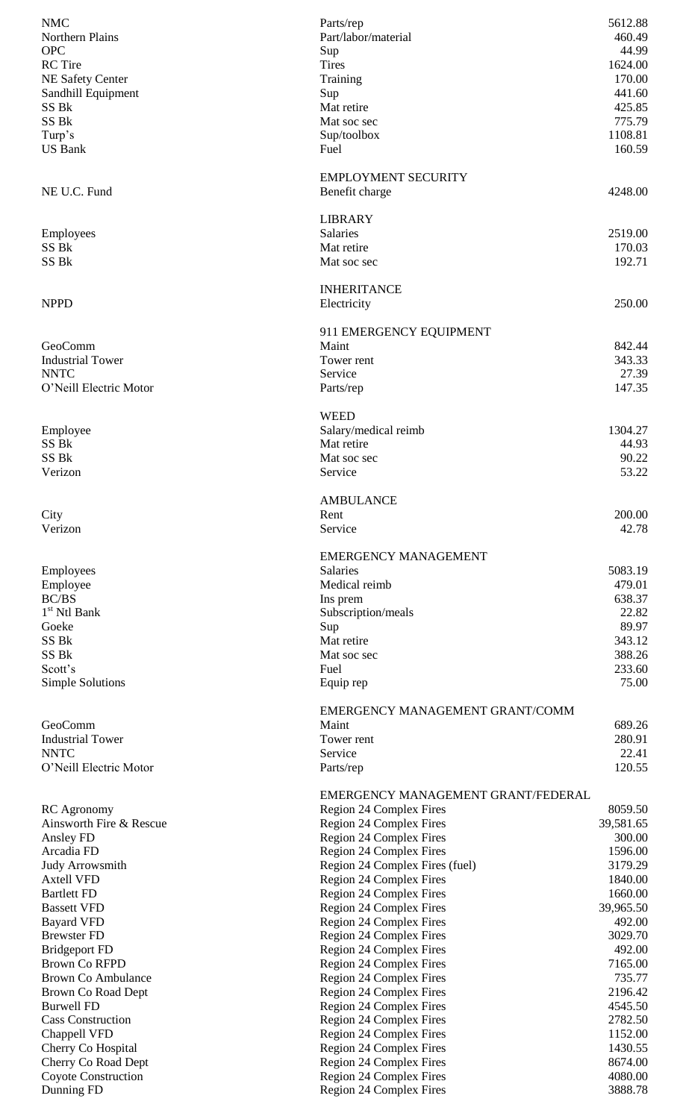| <b>NMC</b><br>Parts/rep                                                                 | 5612.88            |
|-----------------------------------------------------------------------------------------|--------------------|
| Northern Plains<br>Part/labor/material                                                  | 460.49             |
| <b>OPC</b><br>Sup                                                                       | 44.99              |
| <b>RC</b> Tire<br><b>Tires</b>                                                          | 1624.00            |
| NE Safety Center<br>Training                                                            | 170.00             |
| Sandhill Equipment<br>Sup                                                               | 441.60             |
| SS Bk<br>Mat retire                                                                     | 425.85             |
| SS Bk<br>Mat soc sec                                                                    | 775.79             |
| Turp's<br>Sup/toolbox                                                                   | 1108.81            |
| <b>US Bank</b><br>Fuel                                                                  | 160.59             |
|                                                                                         |                    |
| <b>EMPLOYMENT SECURITY</b>                                                              |                    |
| NE U.C. Fund<br>Benefit charge                                                          | 4248.00            |
|                                                                                         |                    |
| <b>LIBRARY</b>                                                                          |                    |
| <b>Salaries</b><br>Employees                                                            | 2519.00            |
| SS Bk<br>Mat retire                                                                     | 170.03             |
| SS <sub>Bk</sub><br>Mat soc sec                                                         | 192.71             |
|                                                                                         |                    |
| <b>INHERITANCE</b>                                                                      |                    |
| <b>NPPD</b><br>Electricity                                                              | 250.00             |
|                                                                                         |                    |
| 911 EMERGENCY EQUIPMENT                                                                 |                    |
| Maint<br>GeoComm                                                                        | 842.44             |
| <b>Industrial Tower</b><br>Tower rent                                                   | 343.33             |
| <b>NNTC</b><br>Service                                                                  | 27.39              |
| O'Neill Electric Motor<br>Parts/rep                                                     | 147.35             |
|                                                                                         |                    |
| <b>WEED</b>                                                                             |                    |
| Employee<br>Salary/medical reimb                                                        | 1304.27            |
| SS Bk<br>Mat retire                                                                     | 44.93              |
| SS Bk<br>Mat soc sec                                                                    | 90.22              |
| Verizon<br>Service                                                                      | 53.22              |
|                                                                                         |                    |
| <b>AMBULANCE</b>                                                                        |                    |
| City<br>Rent                                                                            | 200.00             |
| Verizon<br>Service                                                                      | 42.78              |
|                                                                                         |                    |
|                                                                                         |                    |
| <b>EMERGENCY MANAGEMENT</b>                                                             |                    |
| <b>Salaries</b><br>Employees                                                            | 5083.19            |
| Medical reimb<br>Employee                                                               | 479.01             |
| <b>BC/BS</b><br>Ins prem                                                                | 638.37             |
| 1 <sup>st</sup> Ntl Bank<br>Subscription/meals                                          | 22.82              |
| Goeke<br>Sup                                                                            | 89.97              |
| SS Bk<br>Mat retire                                                                     | 343.12             |
| SS Bk<br>Mat soc sec                                                                    | 388.26             |
| Scott's<br>Fuel                                                                         | 233.60             |
| <b>Simple Solutions</b><br>Equip rep                                                    | 75.00              |
|                                                                                         |                    |
| EMERGENCY MANAGEMENT GRANT/COMM                                                         |                    |
| GeoComm<br>Maint                                                                        | 689.26             |
| <b>Industrial Tower</b><br>Tower rent                                                   | 280.91             |
| <b>NNTC</b><br>Service                                                                  | 22.41              |
| O'Neill Electric Motor<br>Parts/rep                                                     | 120.55             |
|                                                                                         |                    |
| EMERGENCY MANAGEMENT GRANT/FEDERAL                                                      |                    |
| <b>RC</b> Agronomy<br>Region 24 Complex Fires                                           | 8059.50            |
| Ainsworth Fire & Rescue<br>Region 24 Complex Fires                                      | 39,581.65          |
| Region 24 Complex Fires<br>Ansley FD                                                    | 300.00             |
| Arcadia FD<br>Region 24 Complex Fires                                                   | 1596.00            |
| Region 24 Complex Fires (fuel)<br><b>Judy Arrowsmith</b>                                | 3179.29            |
| <b>Axtell VFD</b><br>Region 24 Complex Fires                                            | 1840.00            |
| <b>Bartlett FD</b><br>Region 24 Complex Fires                                           | 1660.00            |
| Region 24 Complex Fires<br><b>Bassett VFD</b>                                           | 39,965.50          |
| Region 24 Complex Fires<br><b>Bayard VFD</b>                                            | 492.00             |
| Region 24 Complex Fires<br><b>Brewster FD</b>                                           | 3029.70            |
| Region 24 Complex Fires<br><b>Bridgeport FD</b>                                         | 492.00             |
| <b>Brown Co RFPD</b><br>Region 24 Complex Fires                                         | 7165.00            |
| Region 24 Complex Fires<br><b>Brown Co Ambulance</b>                                    | 735.77             |
| Region 24 Complex Fires<br>Brown Co Road Dept                                           | 2196.42            |
| <b>Burwell FD</b><br>Region 24 Complex Fires                                            | 4545.50            |
| Region 24 Complex Fires<br><b>Cass Construction</b>                                     | 2782.50            |
| Chappell VFD<br>Region 24 Complex Fires                                                 | 1152.00            |
| Cherry Co Hospital<br>Region 24 Complex Fires                                           | 1430.55            |
| Region 24 Complex Fires<br>Cherry Co Road Dept                                          | 8674.00            |
| Coyote Construction<br>Region 24 Complex Fires<br>Region 24 Complex Fires<br>Dunning FD | 4080.00<br>3888.78 |